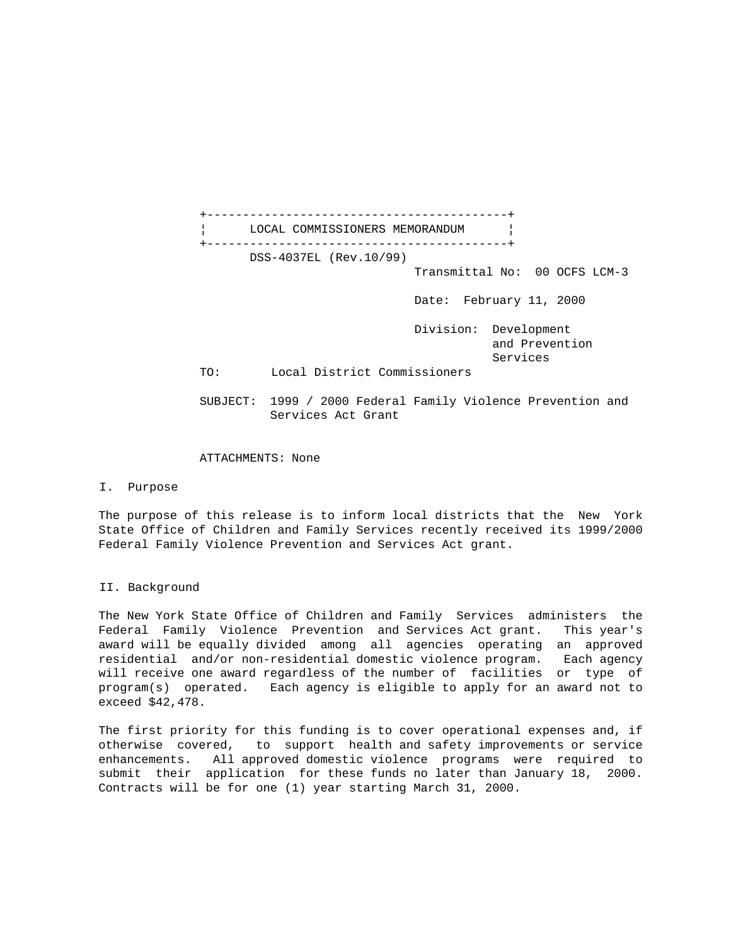+------------------------------------------+ LOCAL COMMISSIONERS MEMORANDUM +------------------------------------------+ DSS-4037EL (Rev.10/99) Transmittal No: 00 OCFS LCM-3 Date: February 11, 2000 Division: Development and Prevention Services TO: Local District Commissioners SUBJECT: 1999 / 2000 Federal Family Violence Prevention and Services Act Grant

## ATTACHMENTS: None

I. Purpose

The purpose of this release is to inform local districts that the New York State Office of Children and Family Services recently received its 1999/2000 Federal Family Violence Prevention and Services Act grant.

## II. Background

The New York State Office of Children and Family Services administers the Federal Family Violence Prevention and Services Act grant. This year's award will be equally divided among all agencies operating an approved residential and/or non-residential domestic violence program. Each agency will receive one award regardless of the number of facilities or type of program(s) operated. Each agency is eligible to apply for an award not to exceed \$42,478.

The first priority for this funding is to cover operational expenses and, if otherwise covered, to support health and safety improvements or service enhancements. All approved domestic violence programs were required to submit their application for these funds no later than January 18, 2000. Contracts will be for one (1) year starting March 31, 2000.